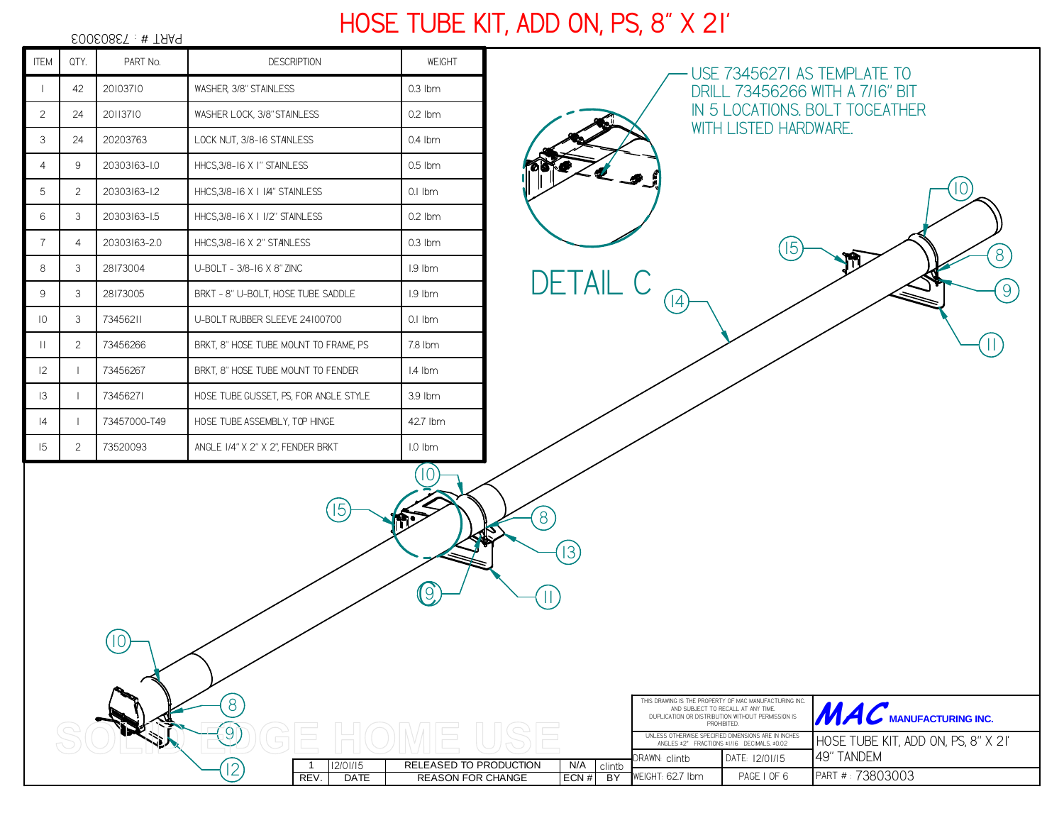*73803003* PART # : *ITEM QTY. PART No. DESCRIPTION WEIGHT USE 73456271 AS TEMPLATE TO <sup>42</sup> <sup>20103710</sup> WASHER, 3/8" STAINLESS 0.3 lbm DRILL 73456266 WITH A 7/16" BIT IN 5 LOCATIONS. BOLT TOGEATHER 2 <sup>24</sup> <sup>20113710</sup> WASHER LOCK, 3/8" STAINLESS 0.2 lbmWITH LISTED HARDWARE.3 <sup>24</sup> <sup>20203763</sup> LOCK NUT, 3/8-16 STAINLESS 0.4 lbm4 20303163-1.0 HHCS,3/8-16 X 1" STAINLESS 0.5 lbm <sup>9</sup>105 <sup>2</sup> 20303163-1.2 HHCS,3/8-16 X 1 1/4" STAINLESS 0.1 lbm6 <sup>3</sup> 20303163-1.5 HHCS,3/8-16 X 1 1/2" STAINLESS 0.2 lbm7 <sup>4</sup> 20303163-2.0 HHCS,3/8-16 X 2" STAINLESS 0.3 lbm158*m *8 <sup>3</sup> <sup>28173004</sup> U-BOLT - 3/8-16 X 8" ZINC 1.9 lbmDETAIL C99 <sup>3</sup> <sup>28173005</sup> BRKT - 8" U-BOLT, HOSE TUBE SADDLE 1.9 lbm14 <sup>3</sup> <sup>73456211</sup> U-BOLT RUBBER SLEEVE 24100700 0.1 lbm10 <sup>2</sup>11 <sup>73456266</sup> BRKT, 8" HOSE TUBE MOUNT TO FRAME, PS 7.8 lbm1112 <sup>1</sup> <sup>73456267</sup> BRKT, 8" HOSE TUBE MOUNT TO FENDER 1.4 lbm13 <sup>1</sup> <sup>73456271</sup> HOSE TUBE GUSSET, PS, FOR ANGLE STYLE 3.9 lbm <sup>1</sup> 73457000-T49 HOSE TUBE ASSEMBLY, TOP HINGE 42.7 lbm14 <sup>73520093</sup> ANGLE 1/4" X 2" X 2", FENDER BRKT 1.0 lbm15 <sup>2</sup>10158139C11108*THIS DRAWING IS THE PROPERTY OF MAC MANUFACTURING INC.WE WANT THE **MANUFACTURING INC.** AND SUBJECT TO RECALL AT ANY TIME. DUPLICATION OR DISTRIBUTION WITHOUT PERMISSION ISPROHIBITED. *9*UNLESS OTHERWISE SPECIFIED DIMENSIONS ARE IN INCHES ANGLES ±2° FRACTIONS ±1/16 DECIMALS. ±0.02 *HOSE TUBE KIT, ADD ON, PS, 8" X 21'49" TANDEM12/01/15*DRAWN: DATE:*clintb12/01/1512*1 2/01/15 **RELEASED TO PRODUCTION** N/A clintb *PAGE 1 OF 6* PART # : *73803003*REV. DATE REASON FOR CHANGE  $ECN#$  $BY$ WEIGHT:*62.7 lbm*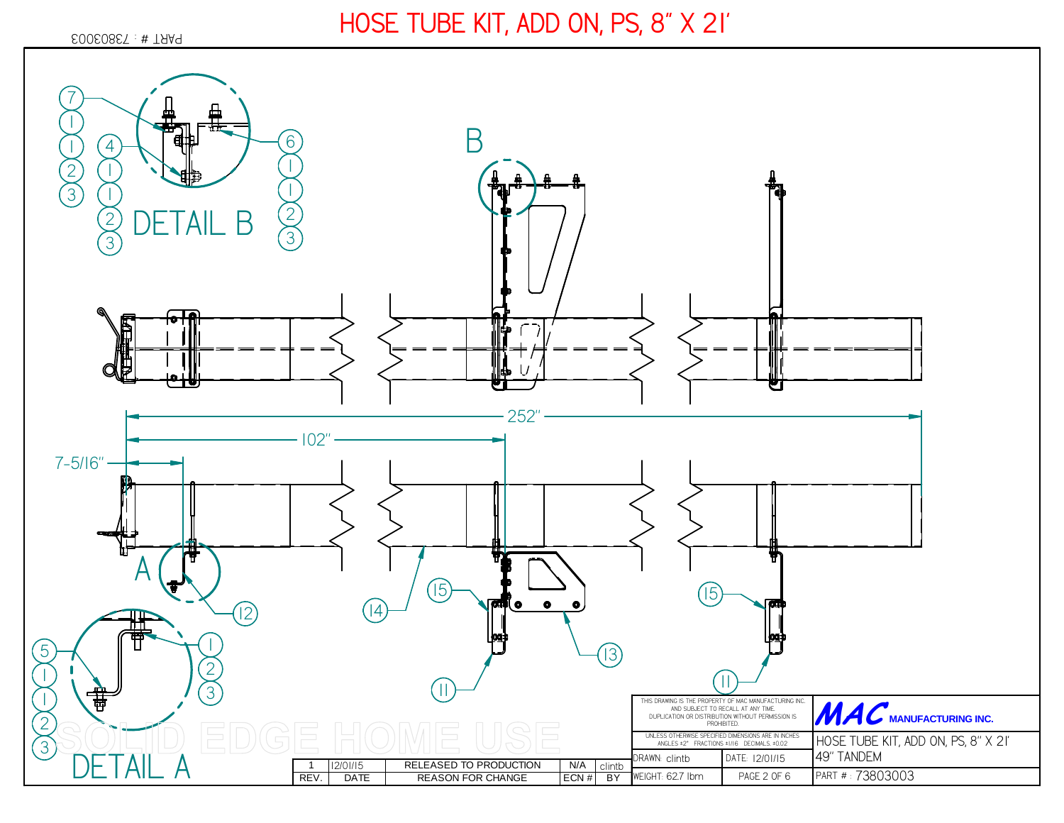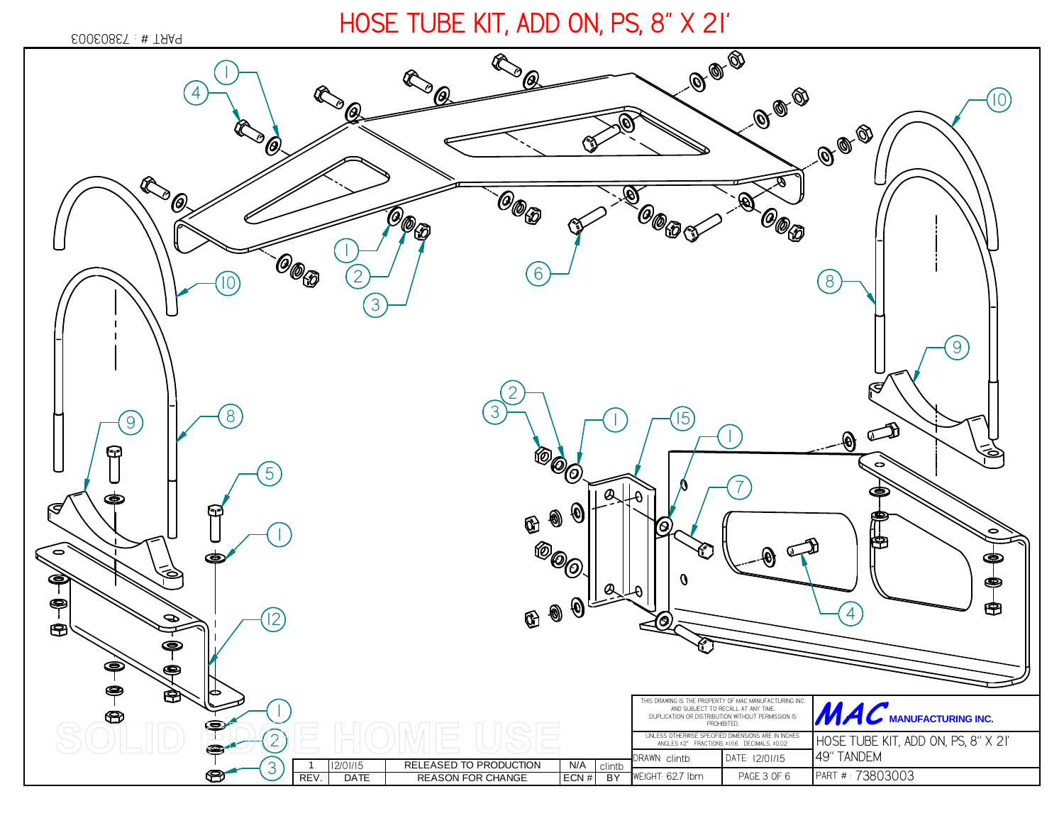*73803003* PART # :

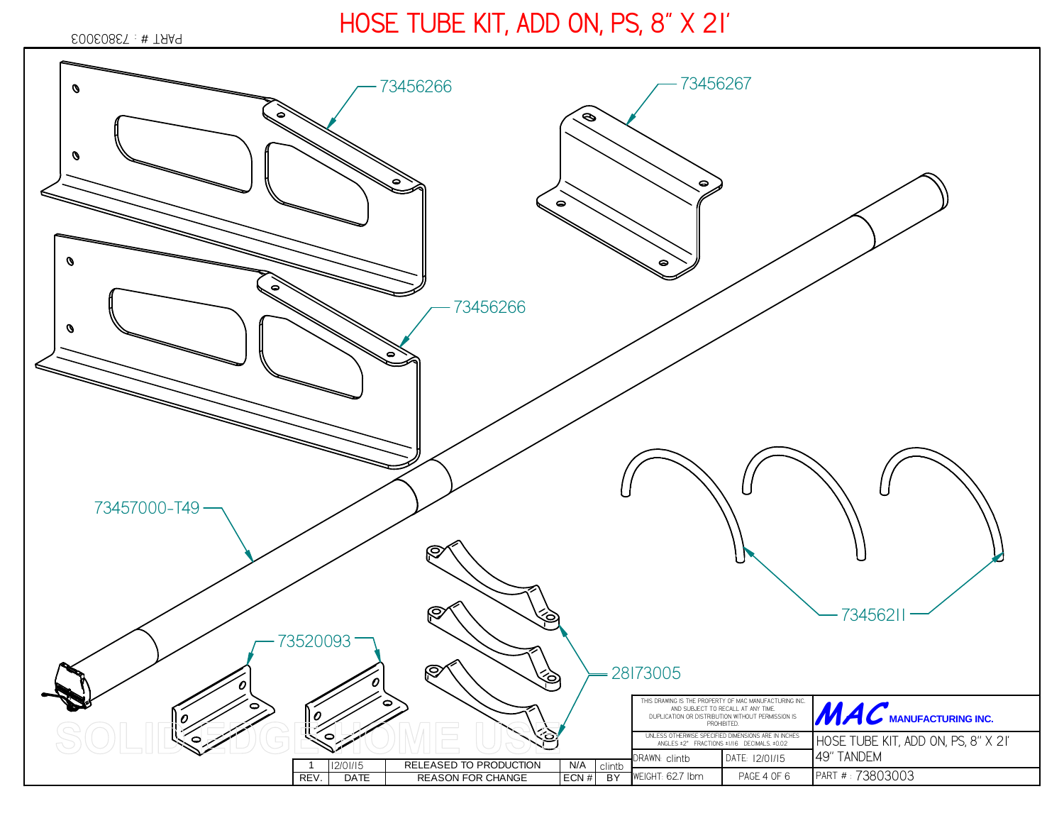#### *73803003* PART # :

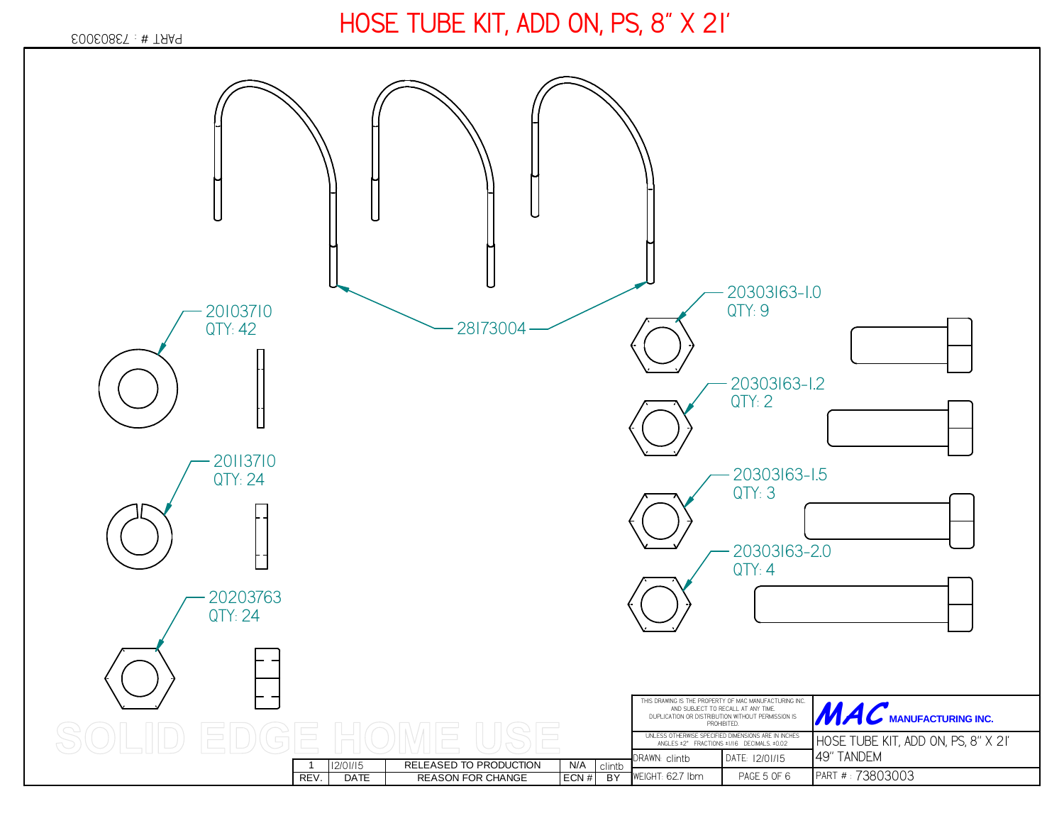#### *73803003* PART # :